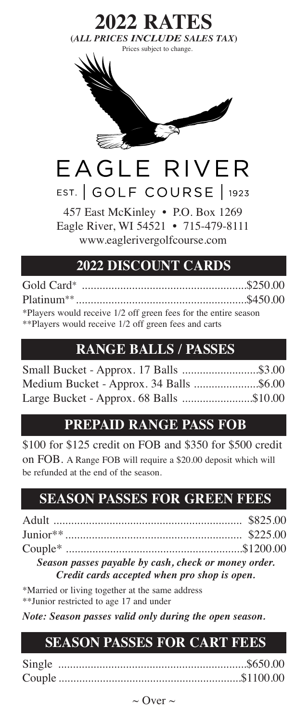

Eagle River, WI 54521 • 715-479-8111 www.eaglerivergolfcourse.com

### **2022 DISCOUNT CARDS**

Gold Card\* ........................................................\$250.00 Platinum\*\*..........................................................\$450.00 \*Players would receive 1/2 off green fees for the entire season \*\*Players would receive 1/2 off green fees and carts

## **RANGE BALLS / PASSES**

| Small Bucket - Approx. 17 Balls \$3.00  |  |
|-----------------------------------------|--|
| Medium Bucket - Approx. 34 Balls \$6.00 |  |
| Large Bucket - Approx. 68 Balls \$10.00 |  |

### **PREPAID RANGE PASS FOB**

\$100 for \$125 credit on FOB and \$350 for \$500 credit on FOB. A Range FOB will require a \$20.00 deposit which will be refunded at the end of the season.

# **SEASON PASSES FOR GREEN FEES**

*Season passes payable by cash, check or money order. Credit cards accepted when pro shop is open.*

\*Married or living together at the same address \*\*Junior restricted to age 17 and under

*Note: Season passes valid only during the open season.*

# **SEASON PASSES FOR CART FEES**

 $\sim$  Over  $\sim$